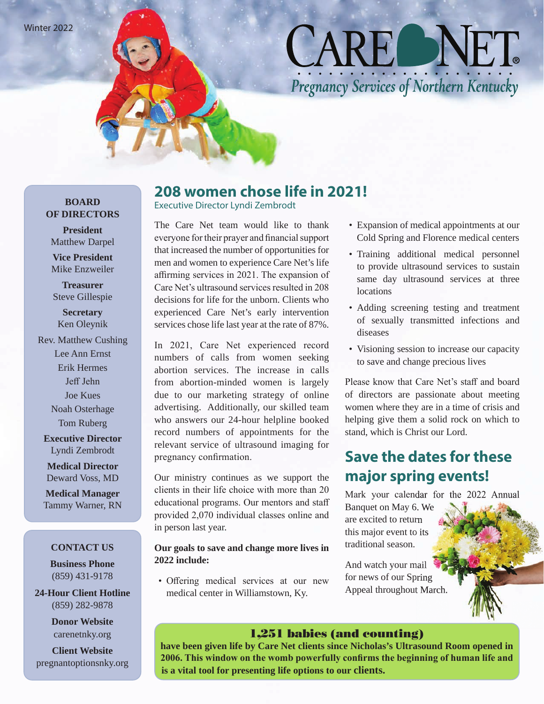Winter 2022

# CARE NET Pregnancy Services of Northern Kentucky

### **BOARD OF DIRECTORS**

**President** Matthew Darpel

**Vice President** Mike Enzweiler

**Treasurer** Steve Gillespie

**Secretary** Ken Oleynik

Rev. Matthew Cushing Lee Ann Ernst Erik Hermes Jeff Jehn Joe Kues Noah Osterhage Tom Ruberg

**Executive Director** Lyndi Zembrodt

**Medical Director** Deward Voss, MD

**Medical Manager** Tammy Warner, RN

#### **CONTACT US**

**Business Phone** (859) 431-9178

**24-Hour Client Hotline** (859) 282-9878

> **Donor Website** carenetnky.org

**Client Website** pregnantoptionsnky.org

### **208 women chose life in 2021!**

Executive Director Lyndi Zembrodt

The Care Net team would like to thank everyone for their prayer and financial support that increased the number of opportunities for men and women to experience Care Net's life affirming services in 2021. The expansion of Care Net's ultrasound services resulted in 208 decisions for life for the unborn. Clients who experienced Care Net's early intervention services chose life last year at the rate of 87%.

In 2021, Care Net experienced record numbers of calls from women seeking abortion services. The increase in calls from abortion-minded women is largely due to our marketing strategy of online advertising. Additionally, our skilled team who answers our 24-hour helpline booked record numbers of appointments for the relevant service of ultrasound imaging for pregnancy confirmation.

Our ministry continues as we support the clients in their life choice with more than 20 educational programs. Our mentors and staff provided 2,070 individual classes online and in person last year.

#### **Our goals to save and change more lives in 2022 include:**

• Offering medical services at our new medical center in Williamstown, Ky.

- Expansion of medical appointments at our Cold Spring and Florence medical centers
- Training additional medical personnel to provide ultrasound services to sustain same day ultrasound services at three **locations**
- Adding screening testing and treatment of sexually transmitted infections and diseases
- Visioning session to increase our capacity to save and change precious lives

Please know that Care Net's staff and board of directors are passionate about meeting women where they are in a time of crisis and helping give them a solid rock on which to stand, which is Christ our Lord.

### **Save the dates for these major spring events!**

Mark your calendar for the 2022 Annual

Banquet on May 6. We are excited to return this major event to its traditional season.

And watch your mail for news of our Spring Appeal throughout March.

### 1,251 babies (and counting)

**have been given life by Care Net clients since Nicholas's Ultrasound Room opened in 2006. This window on the womb powerfully confirms the beginning of human life and is a vital tool for presenting life options to our clients.**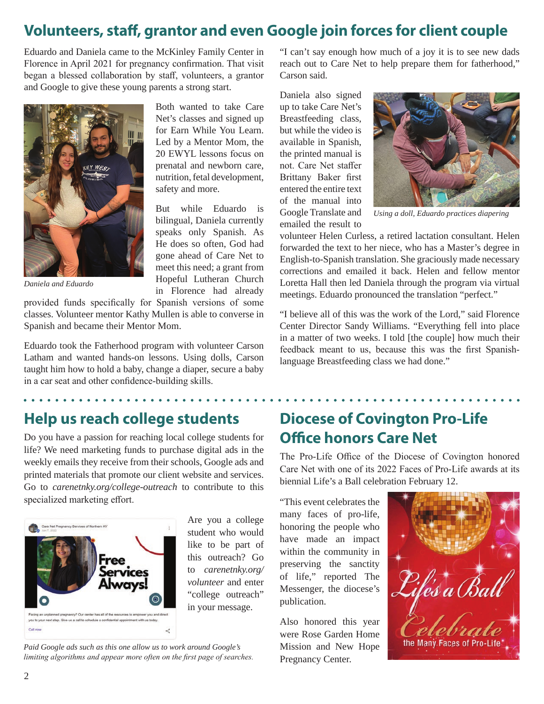### **Volunteers, staff, grantor and even Google join forces for client couple**

Eduardo and Daniela came to the McKinley Family Center in Florence in April 2021 for pregnancy confirmation. That visit began a blessed collaboration by staff, volunteers, a grantor and Google to give these young parents a strong start.



*Daniela and Eduardo*

provided funds specifically for Spanish versions of some classes. Volunteer mentor Kathy Mullen is able to converse in Spanish and became their Mentor Mom.

Eduardo took the Fatherhood program with volunteer Carson Latham and wanted hands-on lessons. Using dolls, Carson taught him how to hold a baby, change a diaper, secure a baby in a car seat and other confidence-building skills.

Both wanted to take Care Net's classes and signed up for Earn While You Learn. Led by a Mentor Mom, the 20 EWYL lessons focus on prenatal and newborn care, nutrition, fetal development, safety and more.

But while Eduardo is bilingual, Daniela currently speaks only Spanish. As He does so often, God had gone ahead of Care Net to meet this need; a grant from Hopeful Lutheran Church in Florence had already

"I can't say enough how much of a joy it is to see new dads reach out to Care Net to help prepare them for fatherhood," Carson said.

Daniela also signed up to take Care Net's Breastfeeding class, but while the video is available in Spanish, the printed manual is not. Care Net staffer Brittany Baker first entered the entire text of the manual into Google Translate and emailed the result to



*Using a doll, Eduardo practices diapering*

volunteer Helen Curless, a retired lactation consultant. Helen forwarded the text to her niece, who has a Master's degree in English-to-Spanish translation. She graciously made necessary corrections and emailed it back. Helen and fellow mentor Loretta Hall then led Daniela through the program via virtual meetings. Eduardo pronounced the translation "perfect."

"I believe all of this was the work of the Lord," said Florence Center Director Sandy Williams. "Everything fell into place in a matter of two weeks. I told [the couple] how much their feedback meant to us, because this was the first Spanishlanguage Breastfeeding class we had done."

### **Help us reach college students**

Do you have a passion for reaching local college students for life? We need marketing funds to purchase digital ads in the weekly emails they receive from their schools, Google ads and printed materials that promote our client website and services. Go to *carenetnky.org/college-outreach* to contribute to this specialized marketing effort.



Are you a college student who would like to be part of this outreach? Go to *carenetnky.org/ volunteer* and enter "college outreach" in your message.

*Paid Google ads such as this one allow us to work around Google's limiting algorithms and appear more often on the first page of searches.*

### **Diocese of Covington Pro-Life Office honors Care Net**

The Pro-Life Office of the Diocese of Covington honored Care Net with one of its 2022 Faces of Pro-Life awards at its biennial Life's a Ball celebration February 12.

"This event celebrates the many faces of pro-life, honoring the people who have made an impact within the community in preserving the sanctity of life," reported The Messenger, the diocese's publication.

Also honored this year were Rose Garden Home Mission and New Hope Pregnancy Center.

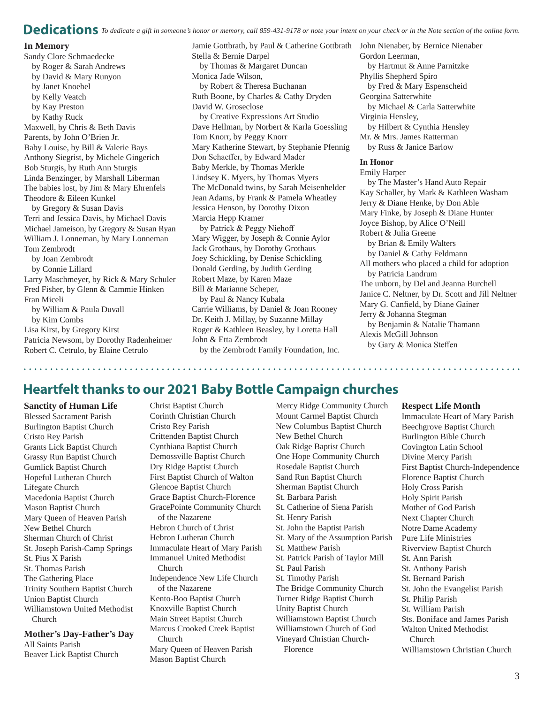#### **Dedications** *To dedicate a gift in someone's honor or memory, call 859-431-9178 or note your intent on your check or in the Note section of the online form.*

#### **In Memory**

Sandy Clore Schmaedecke by Roger & Sarah Andrews by David & Mary Runyon by Janet Knoebel by Kelly Veatch by Kay Preston by Kathy Ruck Maxwell, by Chris & Beth Davis Parents, by John O'Brien Jr. Baby Louise, by Bill & Valerie Bays Anthony Siegrist, by Michele Gingerich Bob Sturgis, by Ruth Ann Sturgis Linda Benzinger, by Marshall Liberman The babies lost, by Jim & Mary Ehrenfels Theodore & Eileen Kunkel by Gregory & Susan Davis Terri and Jessica Davis, by Michael Davis Michael Jameison, by Gregory & Susan Ryan William J. Lonneman, by Mary Lonneman Tom Zembrodt by Joan Zembrodt by Connie Lillard Larry Maschmeyer, by Rick & Mary Schuler Fred Fisher, by Glenn & Cammie Hinken Fran Miceli by William & Paula Duvall by Kim Combs Lisa Kirst, by Gregory Kirst

Patricia Newsom, by Dorothy Radenheimer Robert C. Cetrulo, by Elaine Cetrulo

Jamie Gottbrath, by Paul & Catherine Gottbrath John Nienaber, by Bernice Nienaber Stella & Bernie Darpel by Thomas & Margaret Duncan Monica Jade Wilson, by Robert & Theresa Buchanan Ruth Boone, by Charles & Cathy Dryden David W. Groseclose by Creative Expressions Art Studio Dave Hellman, by Norbert & Karla Goessling Tom Knorr, by Peggy Knorr Mary Katherine Stewart, by Stephanie Pfennig Don Schaeffer, by Edward Mader Baby Merkle, by Thomas Merkle Lindsey K. Myers, by Thomas Myers The McDonald twins, by Sarah Meisenhelder Jean Adams, by Frank & Pamela Wheatley Jessica Henson, by Dorothy Dixon Marcia Hepp Kramer by Patrick & Peggy Niehoff Mary Wigger, by Joseph & Connie Aylor Jack Grothaus, by Dorothy Grothaus Joey Schickling, by Denise Schickling Donald Gerding, by Judith Gerding Robert Maze, by Karen Maze Bill & Marianne Scheper,

by Paul & Nancy Kubala Carrie Williams, by Daniel & Joan Rooney Dr. Keith J. Millay, by Suzanne Millay Roger & Kathleen Beasley, by Loretta Hall John & Etta Zembrodt by the Zembrodt Family Foundation, Inc.

Gordon Leerman, by Hartmut & Anne Parnitzke Phyllis Shepherd Spiro by Fred & Mary Espenscheid Georgina Satterwhite by Michael & Carla Satterwhite Virginia Hensley, by Hilbert & Cynthia Hensley Mr. & Mrs. James Ratterman by Russ & Janice Barlow

#### **In Honor**

Emily Harper by The Master's Hand Auto Repair Kay Schaller, by Mark & Kathleen Washam Jerry & Diane Henke, by Don Able Mary Finke, by Joseph & Diane Hunter Joyce Bishop, by Alice O'Neill Robert & Julia Greene by Brian & Emily Walters by Daniel & Cathy Feldmann All mothers who placed a child for adoption by Patricia Landrum The unborn, by Del and Jeanna Burchell Janice C. Neltner, by Dr. Scott and Jill Neltner Mary G. Canfield, by Diane Gainer Jerry & Johanna Stegman by Benjamin & Natalie Thamann Alexis McGill Johnson by Gary & Monica Steffen

### **Heartfelt thanks to our 2021 Baby Bottle Campaign churches**

**Sanctity of Human Life** Blessed Sacrament Parish Burlington Baptist Church Cristo Rey Parish Grants Lick Baptist Church Grassy Run Baptist Church Gumlick Baptist Church Hopeful Lutheran Church Lifegate Church Macedonia Baptist Church Mason Baptist Church Mary Queen of Heaven Parish New Bethel Church Sherman Church of Christ St. Joseph Parish-Camp Springs St. Pius X Parish St. Thomas Parish The Gathering Place Trinity Southern Baptist Church Union Baptist Church Williamstown United Methodist Church

**Mother's Day-Father's Day** All Saints Parish Beaver Lick Baptist Church

Christ Baptist Church Corinth Christian Church Cristo Rey Parish Crittenden Baptist Church Cynthiana Baptist Church Demossville Baptist Church Dry Ridge Baptist Church First Baptist Church of Walton Glencoe Baptist Church Grace Baptist Church-Florence GracePointe Community Church of the Nazarene Hebron Church of Christ Hebron Lutheran Church Immaculate Heart of Mary Parish Immanuel United Methodist Church Independence New Life Church of the Nazarene Kento-Boo Baptist Church Knoxville Baptist Church Main Street Baptist Church Marcus Crooked Creek Baptist Church Mary Queen of Heaven Parish Mason Baptist Church

Mercy Ridge Community Church Mount Carmel Baptist Church New Columbus Baptist Church New Bethel Church Oak Ridge Baptist Church One Hope Community Church Rosedale Baptist Church Sand Run Baptist Church Sherman Baptist Church St. Barbara Parish St. Catherine of Siena Parish St. Henry Parish St. John the Baptist Parish St. Mary of the Assumption Parish St. Matthew Parish St. Patrick Parish of Taylor Mill St. Paul Parish St. Timothy Parish The Bridge Community Church Turner Ridge Baptist Church Unity Baptist Church Williamstown Baptist Church Williamstown Church of God Vineyard Christian Church-Florence

#### **Respect Life Month**

Immaculate Heart of Mary Parish Beechgrove Baptist Church Burlington Bible Church Covington Latin School Divine Mercy Parish First Baptist Church-Independence Florence Baptist Church Holy Cross Parish Holy Spirit Parish Mother of God Parish Next Chapter Church Notre Dame Academy Pure Life Ministries Riverview Baptist Church St. Ann Parish St. Anthony Parish St. Bernard Parish St. John the Evangelist Parish St. Philip Parish St. William Parish Sts. Boniface and James Parish Walton United Methodist Church Williamstown Christian Church